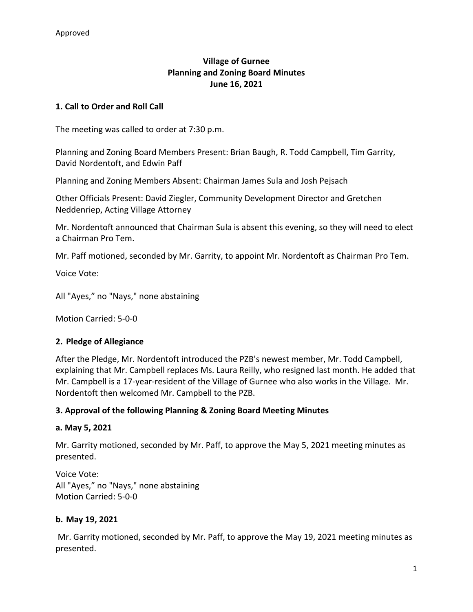# **Village of Gurnee Planning and Zoning Board Minutes June 16, 2021**

## **1. Call to Order and Roll Call**

The meeting was called to order at 7:30 p.m.

Planning and Zoning Board Members Present: Brian Baugh, R. Todd Campbell, Tim Garrity, David Nordentoft, and Edwin Paff

Planning and Zoning Members Absent: Chairman James Sula and Josh Pejsach

Other Officials Present: David Ziegler, Community Development Director and Gretchen Neddenriep, Acting Village Attorney

Mr. Nordentoft announced that Chairman Sula is absent this evening, so they will need to elect a Chairman Pro Tem.

Mr. Paff motioned, seconded by Mr. Garrity, to appoint Mr. Nordentoft as Chairman Pro Tem.

Voice Vote:

All "Ayes," no "Nays," none abstaining

Motion Carried: 5-0-0

#### **2. Pledge of Allegiance**

After the Pledge, Mr. Nordentoft introduced the PZB's newest member, Mr. Todd Campbell, explaining that Mr. Campbell replaces Ms. Laura Reilly, who resigned last month. He added that Mr. Campbell is a 17-year-resident of the Village of Gurnee who also works in the Village. Mr. Nordentoft then welcomed Mr. Campbell to the PZB.

#### **3. Approval of the following Planning & Zoning Board Meeting Minutes**

#### **a. May 5, 2021**

Mr. Garrity motioned, seconded by Mr. Paff, to approve the May 5, 2021 meeting minutes as presented.

Voice Vote: All "Ayes," no "Nays," none abstaining Motion Carried: 5-0-0

#### **b. May 19, 2021**

Mr. Garrity motioned, seconded by Mr. Paff, to approve the May 19, 2021 meeting minutes as presented.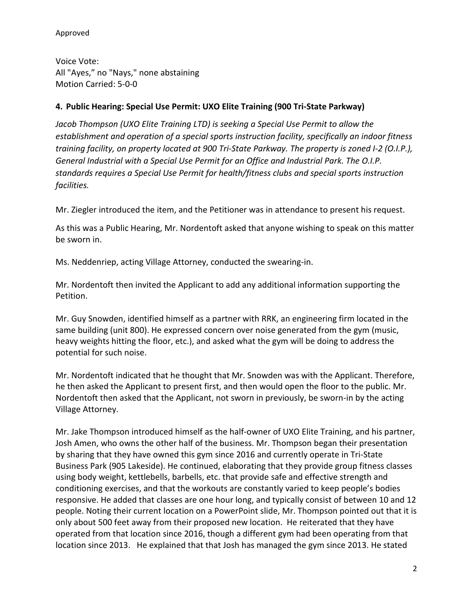Voice Vote: All "Ayes," no "Nays," none abstaining Motion Carried: 5-0-0

# **4. Public Hearing: Special Use Permit: UXO Elite Training (900 Tri-State Parkway)**

*Jacob Thompson (UXO Elite Training LTD) is seeking a Special Use Permit to allow the establishment and operation of a special sports instruction facility, specifically an indoor fitness training facility, on property located at 900 Tri-State Parkway. The property is zoned I-2 (O.I.P.), General Industrial with a Special Use Permit for an Office and Industrial Park. The O.I.P. standards requires a Special Use Permit for health/fitness clubs and special sports instruction facilities.* 

Mr. Ziegler introduced the item, and the Petitioner was in attendance to present his request.

As this was a Public Hearing, Mr. Nordentoft asked that anyone wishing to speak on this matter be sworn in.

Ms. Neddenriep, acting Village Attorney, conducted the swearing-in.

Mr. Nordentoft then invited the Applicant to add any additional information supporting the Petition.

Mr. Guy Snowden, identified himself as a partner with RRK, an engineering firm located in the same building (unit 800). He expressed concern over noise generated from the gym (music, heavy weights hitting the floor, etc.), and asked what the gym will be doing to address the potential for such noise.

Mr. Nordentoft indicated that he thought that Mr. Snowden was with the Applicant. Therefore, he then asked the Applicant to present first, and then would open the floor to the public. Mr. Nordentoft then asked that the Applicant, not sworn in previously, be sworn-in by the acting Village Attorney.

Mr. Jake Thompson introduced himself as the half-owner of UXO Elite Training, and his partner, Josh Amen, who owns the other half of the business. Mr. Thompson began their presentation by sharing that they have owned this gym since 2016 and currently operate in Tri-State Business Park (905 Lakeside). He continued, elaborating that they provide group fitness classes using body weight, kettlebells, barbells, etc. that provide safe and effective strength and conditioning exercises, and that the workouts are constantly varied to keep people's bodies responsive. He added that classes are one hour long, and typically consist of between 10 and 12 people. Noting their current location on a PowerPoint slide, Mr. Thompson pointed out that it is only about 500 feet away from their proposed new location. He reiterated that they have operated from that location since 2016, though a different gym had been operating from that location since 2013. He explained that that Josh has managed the gym since 2013. He stated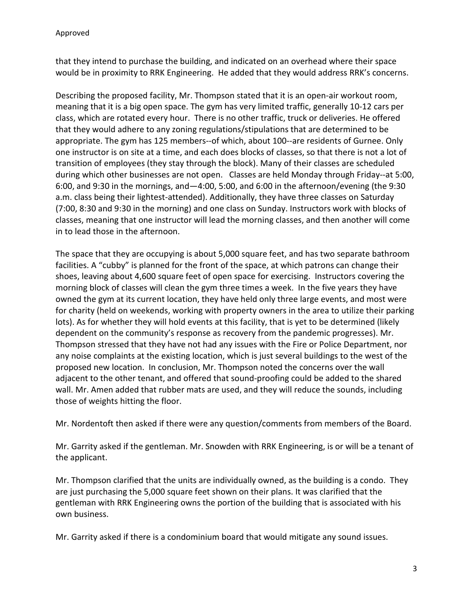that they intend to purchase the building, and indicated on an overhead where their space would be in proximity to RRK Engineering. He added that they would address RRK's concerns.

Describing the proposed facility, Mr. Thompson stated that it is an open-air workout room, meaning that it is a big open space. The gym has very limited traffic, generally 10-12 cars per class, which are rotated every hour. There is no other traffic, truck or deliveries. He offered that they would adhere to any zoning regulations/stipulations that are determined to be appropriate. The gym has 125 members--of which, about 100--are residents of Gurnee. Only one instructor is on site at a time, and each does blocks of classes, so that there is not a lot of transition of employees (they stay through the block). Many of their classes are scheduled during which other businesses are not open. Classes are held Monday through Friday--at 5:00, 6:00, and 9:30 in the mornings, and—4:00, 5:00, and 6:00 in the afternoon/evening (the 9:30 a.m. class being their lightest-attended). Additionally, they have three classes on Saturday (7:00, 8:30 and 9:30 in the morning) and one class on Sunday. Instructors work with blocks of classes, meaning that one instructor will lead the morning classes, and then another will come in to lead those in the afternoon.

The space that they are occupying is about 5,000 square feet, and has two separate bathroom facilities. A "cubby" is planned for the front of the space, at which patrons can change their shoes, leaving about 4,600 square feet of open space for exercising. Instructors covering the morning block of classes will clean the gym three times a week. In the five years they have owned the gym at its current location, they have held only three large events, and most were for charity (held on weekends, working with property owners in the area to utilize their parking lots). As for whether they will hold events at this facility, that is yet to be determined (likely dependent on the community's response as recovery from the pandemic progresses). Mr. Thompson stressed that they have not had any issues with the Fire or Police Department, nor any noise complaints at the existing location, which is just several buildings to the west of the proposed new location. In conclusion, Mr. Thompson noted the concerns over the wall adjacent to the other tenant, and offered that sound-proofing could be added to the shared wall. Mr. Amen added that rubber mats are used, and they will reduce the sounds, including those of weights hitting the floor.

Mr. Nordentoft then asked if there were any question/comments from members of the Board.

Mr. Garrity asked if the gentleman. Mr. Snowden with RRK Engineering, is or will be a tenant of the applicant.

Mr. Thompson clarified that the units are individually owned, as the building is a condo. They are just purchasing the 5,000 square feet shown on their plans. It was clarified that the gentleman with RRK Engineering owns the portion of the building that is associated with his own business.

Mr. Garrity asked if there is a condominium board that would mitigate any sound issues.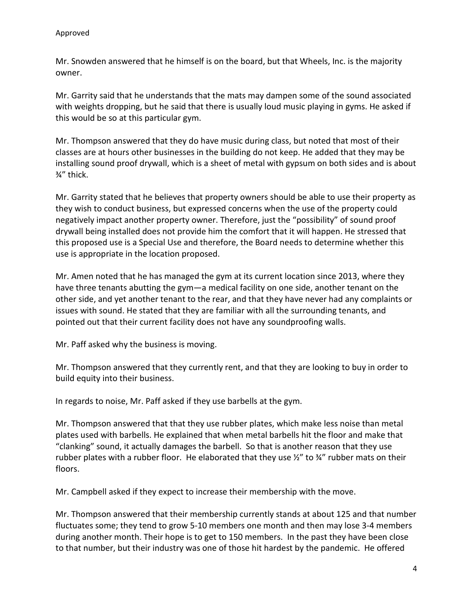Mr. Snowden answered that he himself is on the board, but that Wheels, Inc. is the majority owner.

Mr. Garrity said that he understands that the mats may dampen some of the sound associated with weights dropping, but he said that there is usually loud music playing in gyms. He asked if this would be so at this particular gym.

Mr. Thompson answered that they do have music during class, but noted that most of their classes are at hours other businesses in the building do not keep. He added that they may be installing sound proof drywall, which is a sheet of metal with gypsum on both sides and is about ¾" thick.

Mr. Garrity stated that he believes that property owners should be able to use their property as they wish to conduct business, but expressed concerns when the use of the property could negatively impact another property owner. Therefore, just the "possibility" of sound proof drywall being installed does not provide him the comfort that it will happen. He stressed that this proposed use is a Special Use and therefore, the Board needs to determine whether this use is appropriate in the location proposed.

Mr. Amen noted that he has managed the gym at its current location since 2013, where they have three tenants abutting the gym—a medical facility on one side, another tenant on the other side, and yet another tenant to the rear, and that they have never had any complaints or issues with sound. He stated that they are familiar with all the surrounding tenants, and pointed out that their current facility does not have any soundproofing walls.

Mr. Paff asked why the business is moving.

Mr. Thompson answered that they currently rent, and that they are looking to buy in order to build equity into their business.

In regards to noise, Mr. Paff asked if they use barbells at the gym.

Mr. Thompson answered that that they use rubber plates, which make less noise than metal plates used with barbells. He explained that when metal barbells hit the floor and make that "clanking" sound, it actually damages the barbell. So that is another reason that they use rubber plates with a rubber floor. He elaborated that they use  $\frac{1}{2}$ " to  $\frac{3}{4}$ " rubber mats on their floors.

Mr. Campbell asked if they expect to increase their membership with the move.

Mr. Thompson answered that their membership currently stands at about 125 and that number fluctuates some; they tend to grow 5-10 members one month and then may lose 3-4 members during another month. Their hope is to get to 150 members. In the past they have been close to that number, but their industry was one of those hit hardest by the pandemic. He offered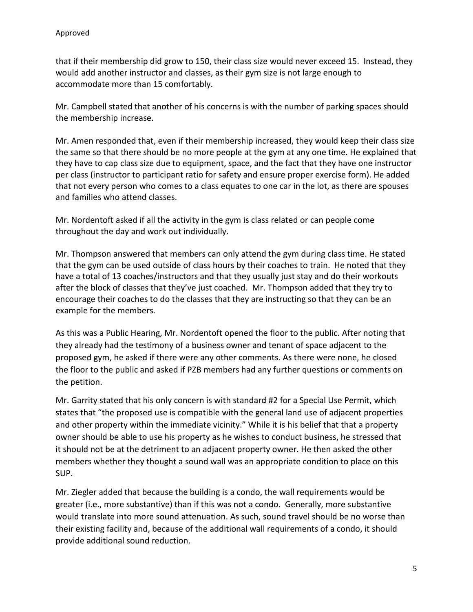that if their membership did grow to 150, their class size would never exceed 15. Instead, they would add another instructor and classes, as their gym size is not large enough to accommodate more than 15 comfortably.

Mr. Campbell stated that another of his concerns is with the number of parking spaces should the membership increase.

Mr. Amen responded that, even if their membership increased, they would keep their class size the same so that there should be no more people at the gym at any one time. He explained that they have to cap class size due to equipment, space, and the fact that they have one instructor per class (instructor to participant ratio for safety and ensure proper exercise form). He added that not every person who comes to a class equates to one car in the lot, as there are spouses and families who attend classes.

Mr. Nordentoft asked if all the activity in the gym is class related or can people come throughout the day and work out individually.

Mr. Thompson answered that members can only attend the gym during class time. He stated that the gym can be used outside of class hours by their coaches to train. He noted that they have a total of 13 coaches/instructors and that they usually just stay and do their workouts after the block of classes that they've just coached. Mr. Thompson added that they try to encourage their coaches to do the classes that they are instructing so that they can be an example for the members.

As this was a Public Hearing, Mr. Nordentoft opened the floor to the public. After noting that they already had the testimony of a business owner and tenant of space adjacent to the proposed gym, he asked if there were any other comments. As there were none, he closed the floor to the public and asked if PZB members had any further questions or comments on the petition.

Mr. Garrity stated that his only concern is with standard #2 for a Special Use Permit, which states that "the proposed use is compatible with the general land use of adjacent properties and other property within the immediate vicinity." While it is his belief that that a property owner should be able to use his property as he wishes to conduct business, he stressed that it should not be at the detriment to an adjacent property owner. He then asked the other members whether they thought a sound wall was an appropriate condition to place on this SUP.

Mr. Ziegler added that because the building is a condo, the wall requirements would be greater (i.e., more substantive) than if this was not a condo. Generally, more substantive would translate into more sound attenuation. As such, sound travel should be no worse than their existing facility and, because of the additional wall requirements of a condo, it should provide additional sound reduction.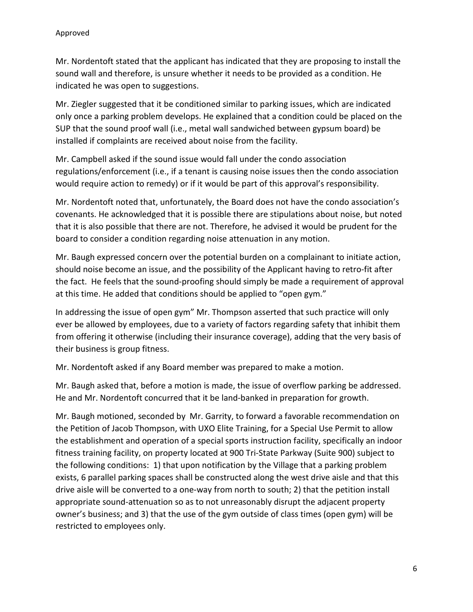Mr. Nordentoft stated that the applicant has indicated that they are proposing to install the sound wall and therefore, is unsure whether it needs to be provided as a condition. He indicated he was open to suggestions.

Mr. Ziegler suggested that it be conditioned similar to parking issues, which are indicated only once a parking problem develops. He explained that a condition could be placed on the SUP that the sound proof wall (i.e., metal wall sandwiched between gypsum board) be installed if complaints are received about noise from the facility.

Mr. Campbell asked if the sound issue would fall under the condo association regulations/enforcement (i.e., if a tenant is causing noise issues then the condo association would require action to remedy) or if it would be part of this approval's responsibility.

Mr. Nordentoft noted that, unfortunately, the Board does not have the condo association's covenants. He acknowledged that it is possible there are stipulations about noise, but noted that it is also possible that there are not. Therefore, he advised it would be prudent for the board to consider a condition regarding noise attenuation in any motion.

Mr. Baugh expressed concern over the potential burden on a complainant to initiate action, should noise become an issue, and the possibility of the Applicant having to retro-fit after the fact. He feels that the sound-proofing should simply be made a requirement of approval at this time. He added that conditions should be applied to "open gym."

In addressing the issue of open gym" Mr. Thompson asserted that such practice will only ever be allowed by employees, due to a variety of factors regarding safety that inhibit them from offering it otherwise (including their insurance coverage), adding that the very basis of their business is group fitness.

Mr. Nordentoft asked if any Board member was prepared to make a motion.

Mr. Baugh asked that, before a motion is made, the issue of overflow parking be addressed. He and Mr. Nordentoft concurred that it be land-banked in preparation for growth.

Mr. Baugh motioned, seconded by Mr. Garrity, to forward a favorable recommendation on the Petition of Jacob Thompson, with UXO Elite Training, for a Special Use Permit to allow the establishment and operation of a special sports instruction facility, specifically an indoor fitness training facility, on property located at 900 Tri-State Parkway (Suite 900) subject to the following conditions: 1) that upon notification by the Village that a parking problem exists, 6 parallel parking spaces shall be constructed along the west drive aisle and that this drive aisle will be converted to a one-way from north to south; 2) that the petition install appropriate sound-attenuation so as to not unreasonably disrupt the adjacent property owner's business; and 3) that the use of the gym outside of class times (open gym) will be restricted to employees only.